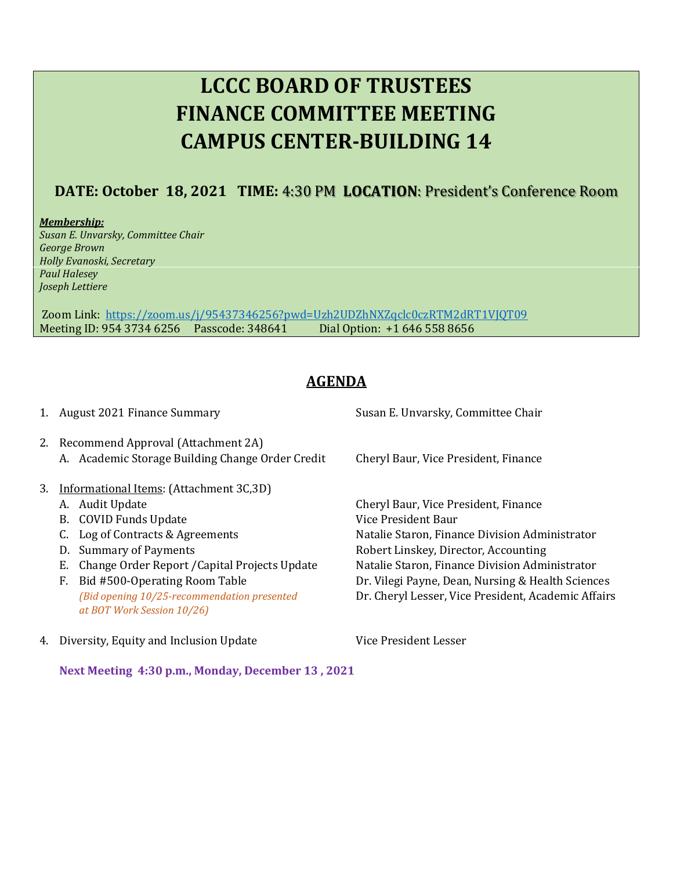# **LCCC BOARD OF TRUSTEES FINANCE COMMITTEE MEETING CAMPUS CENTER-BUILDING 14**

## **DATE: October 18, 2021 TIME:** 4:30 PM **LOCATION**: President's Conference Room

*Membership: Susan E. Unvarsky, Committee Chair George Brown Holly Evanoski, Secretary Paul Halesey Joseph Lettiere*

Zoom Link: <https://zoom.us/j/95437346256?pwd=Uzh2UDZhNXZqclc0czRTM2dRT1VJQT09> Meeting ID: 954 3734 6256 Passcode: 348641 Dial Option: +1 646 558 8656

## **AGENDA**

- 
- 2. Recommend Approval (Attachment 2A) A. Academic Storage Building Change Order Credit Cheryl Baur, Vice President, Finance
- 3. Informational Items: (Attachment 3C,3D)
	-
	- B. COVID Funds Update Vice President Baur
	-
	-
	- E. Change Order Report /Capital Projects Update Natalie Staron, Finance Division Administrator
	- *at BOT Work Session 10/26)*
- 4. Diversity, Equity and Inclusion Update Vice President Lesser

1. August 2021 Finance Summary Susan E. Unvarsky, Committee Chair

A. Audit Update Cheryl Baur, Vice President, Finance C. Log of Contracts & Agreements Natalie Staron, Finance Division Administrator D. Summary of Payments **Robert Linskey, Director, Accounting** F. Bid #500-Operating Room Table Dr. Vilegi Payne, Dean, Nursing & Health Sciences *(Bid opening 10/25-recommendation presented* Dr. Cheryl Lesser, Vice President, Academic Affairs

**Next Meeting 4:30 p.m., Monday, December 13 , 2021**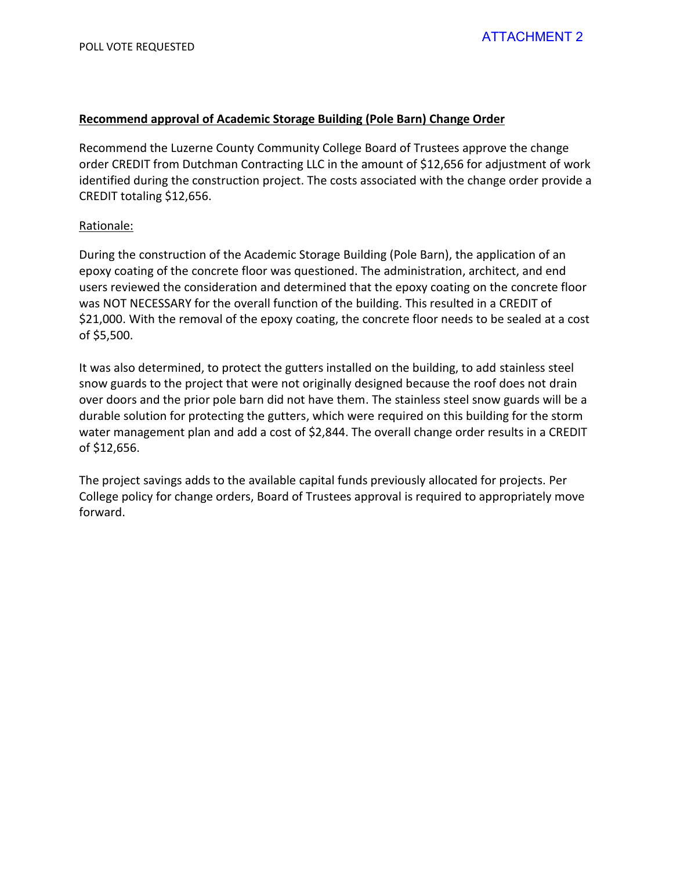#### **Recommend approval of Academic Storage Building (Pole Barn) Change Order**

Recommend the Luzerne County Community College Board of Trustees approve the change order CREDIT from Dutchman Contracting LLC in the amount of \$12,656 for adjustment of work identified during the construction project. The costs associated with the change order provide a CREDIT totaling \$12,656.

#### Rationale:

During the construction of the Academic Storage Building (Pole Barn), the application of an epoxy coating of the concrete floor was questioned. The administration, architect, and end users reviewed the consideration and determined that the epoxy coating on the concrete floor was NOT NECESSARY for the overall function of the building. This resulted in a CREDIT of \$21,000. With the removal of the epoxy coating, the concrete floor needs to be sealed at a cost of \$5,500.

It was also determined, to protect the gutters installed on the building, to add stainless steel snow guards to the project that were not originally designed because the roof does not drain over doors and the prior pole barn did not have them. The stainless steel snow guards will be a durable solution for protecting the gutters, which were required on this building for the storm water management plan and add a cost of \$2,844. The overall change order results in a CREDIT of \$12,656.

The project savings adds to the available capital funds previously allocated for projects. Per College policy for change orders, Board of Trustees approval is required to appropriately move forward.